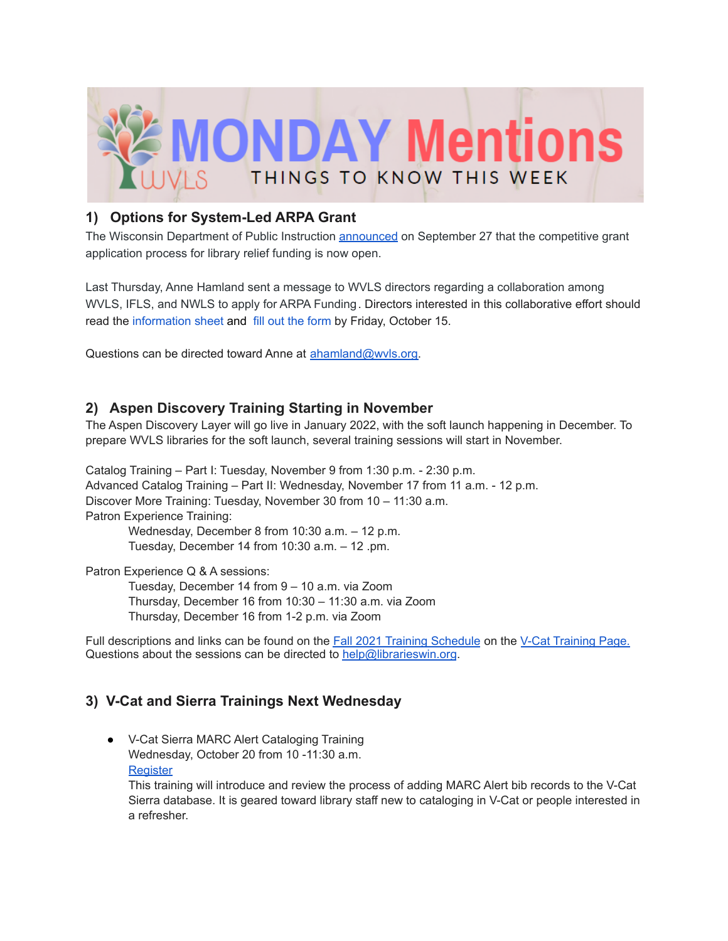

## **1) Options for System-Led ARPA Grant**

The Wisconsin Department of Public Instruction [announced](https://dpi.wi.gov/pld/arpa-libraries) on September 27 that the competitive grant application process for library relief funding is now open.

Last Thursday, Anne Hamland sent a message to WVLS directors regarding a collaboration among WVLS, IFLS, and NWLS to apply for ARPA Funding. Directors interested in this collaborative effort should read the [information](https://docs.google.com/document/d/1k8a_4vg7TCHy4T1c_rGBWn8gbhUlEyPSv4pzoJbq0Kw/edit?usp=sharing) sheet and fill out the [form](https://docs.google.com/forms/d/e/1FAIpQLSfKJ-7JvLIu1aJ00lc3vCPmJekTG457JcFlEbaafVahmwZhGg/viewform?usp=sf_link) by Friday, October 15.

Questions can be directed toward Anne at [ahamland@wvls.org.](mailto:ahamland@wvls.org)

## **2) Aspen Discovery Training Starting in November**

The Aspen Discovery Layer will go live in January 2022, with the soft launch happening in December. To prepare WVLS libraries for the soft launch, several training sessions will start in November.

Catalog Training – Part I: Tuesday, November 9 from 1:30 p.m. - 2:30 p.m. Advanced Catalog Training – Part II: Wednesday, November 17 from 11 a.m. - 12 p.m. Discover More Training: Tuesday, November 30 from 10 – 11:30 a.m. Patron Experience Training: Wednesday, December 8 from 10:30 a.m. – 12 p.m.

Tuesday, December 14 from 10:30 a.m. – 12 .pm.

Patron Experience Q & A sessions:

Tuesday, December 14 from 9 – 10 a.m. via Zoom Thursday, December 16 from 10:30 – 11:30 a.m. via Zoom Thursday, December 16 from 1-2 p.m. via Zoom

Full descriptions and links can be found on the Fall 2021 Training [Schedule](https://wvls.org/wp-content/uploads/2021/10/Fall-2021-V-Cat-Training_Updated-2010.10.08.pdf) on the V-Cat [Training](https://www.wvls.org/v-cat-training/) Page. Questions about the sessions can be directed to [help@librarieswin.org](mailto:help@librarieswin.org).

# **3) V-Cat and Sierra Trainings Next Wednesday**

● V-Cat Sierra MARC Alert Cataloging Training Wednesday, October 20 from 10 -11:30 a.m. **[Register](https://docs.google.com/forms/d/e/1FAIpQLSc5zegbJW7e4ME6cQuXdcVYYFpIDpskmKg91GCrM-bKeu8IKw/viewform)** 

This training will introduce and review the process of adding MARC Alert bib records to the V-Cat Sierra database. It is geared toward library staff new to cataloging in V-Cat or people interested in a refresher.